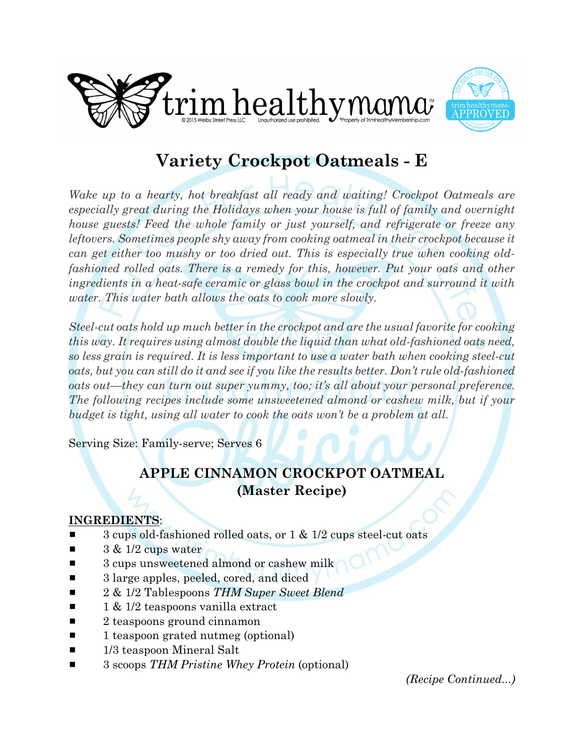



# **Variety Crockpot Oatmeals - E**

*Wake up to a hearty, hot breakfast all ready and waiting! Crockpot Oatmeals are especially great during the Holidays when your house is full of family and overnight house guests! Feed the whole family or just yourself, and refrigerate or freeze any leftovers. Sometimes people shy away from cooking oatmeal in their crockpot because it can get either too mushy or too dried out. This is especially true when cooking oldfashioned rolled oats. There is a remedy for this, however. Put your oats and other ingredients in a heat-safe ceramic or glass bowl in the crockpot and surround it with water. This water bath allows the oats to cook more slowly.*

*Steel-cut oats hold up much better in the crockpot and are the usual favorite for cooking this way. It requires using almost double the liquid than what old-fashioned oats need, so less grain is required. It is less important to use a water bath when cooking steel-cut oats, but you can still do it and see if you like the results better. Don't rule old-fashioned oats out—they can turn out super yummy, too; it's all about your personal preference. The following recipes include some unsweetened almond or cashew milk, but if your budget is tight, using all water to cook the oats won't be a problem at all.*

Serving Size: Family-serve; Serves 6

### **APPLE CINNAMON CROCKPOT OATMEAL (Master Recipe)**

#### **INGREDIENTS**:

- 3 cups old-fashioned rolled oats, or  $1 \& 1/2$  cups steel-cut oats
- $3 & 1/2$  cups water
- $\blacksquare$  3 cups unsweetened almond or cashew milk
- 3 large apples, peeled, cored, and diced
- 2 & 1/2 Tablespoons *THM Super Sweet Blend*
- 1 & 1/2 teaspoons vanilla extract
- $\blacksquare$  2 teaspoons ground cinnamon
- $\blacksquare$  1 teaspoon grated nutmeg (optional)
- $\blacksquare$  1/3 teaspoon Mineral Salt
- 3 scoops *THM Pristine Whey Protein* (optional)

*(Recipe Continued...)*